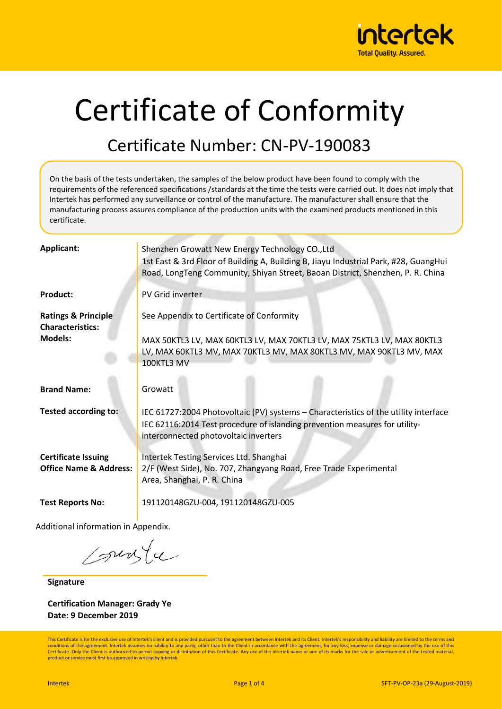

# Certificate of Conformity

#### Certificate Number: CN-PV-190083

On the basis of the tests undertaken, the samples of the below product have been found to comply with the requirements of the referenced specifications /standards at the time the tests were carried out. It does not imply that Intertek has performed any surveillance or control of the manufacture. The manufacturer shall ensure that the manufacturing process assures compliance of the production units with the examined products mentioned in this certificate.

| <b>Applicant:</b>                                               | Shenzhen Growatt New Energy Technology CO., Ltd<br>1st East & 3rd Floor of Building A, Building B, Jiayu Industrial Park, #28, GuangHui<br>Road, LongTeng Community, Shiyan Street, Baoan District, Shenzhen, P. R. China |
|-----------------------------------------------------------------|---------------------------------------------------------------------------------------------------------------------------------------------------------------------------------------------------------------------------|
| <b>Product:</b>                                                 | PV Grid inverter                                                                                                                                                                                                          |
| <b>Ratings &amp; Principle</b><br><b>Characteristics:</b>       | See Appendix to Certificate of Conformity                                                                                                                                                                                 |
| <b>Models:</b>                                                  | MAX 50KTL3 LV, MAX 60KTL3 LV, MAX 70KTL3 LV, MAX 75KTL3 LV, MAX 80KTL3<br>LV, MAX 60KTL3 MV, MAX 70KTL3 MV, MAX 80KTL3 MV, MAX 90KTL3 MV, MAX<br>100KTL3 MV                                                               |
| <b>Brand Name:</b>                                              | Growatt                                                                                                                                                                                                                   |
| <b>Tested according to:</b>                                     | IEC 61727:2004 Photovoltaic (PV) systems - Characteristics of the utility interface<br>IEC 62116:2014 Test procedure of islanding prevention measures for utility-<br>interconnected photovoltaic inverters               |
| <b>Certificate Issuing</b><br><b>Office Name &amp; Address:</b> | Intertek Testing Services Ltd. Shanghai<br>2/F (West Side), No. 707, Zhangyang Road, Free Trade Experimental<br>Area, Shanghai, P. R. China                                                                               |
| <b>Test Reports No:</b>                                         | 191120148GZU-004, 191120148GZU-005                                                                                                                                                                                        |

Additional information in Appendix.

sunte

**Signature**

**Certification Manager: Grady Ye Date: 9 December 2019**

This Certificate is for the exclusive use of Intertek's client and is provided pursuant to the agreement between Intertek and its Client. Intertek's responsibility and liability are limited to the terms and conditions of the agreement. Intertek assumes no liability to any party, other than to the Client in accordance with the agreement, for any loss, expense or damage occasioned by the use of this Certificate. Only the Client is authorized to permit copying or distribution of this Certificate. Any use of the Intertek name or one of its marks for the sale or advertisement of the tested material, product or service must first be approved in writing by Intertek.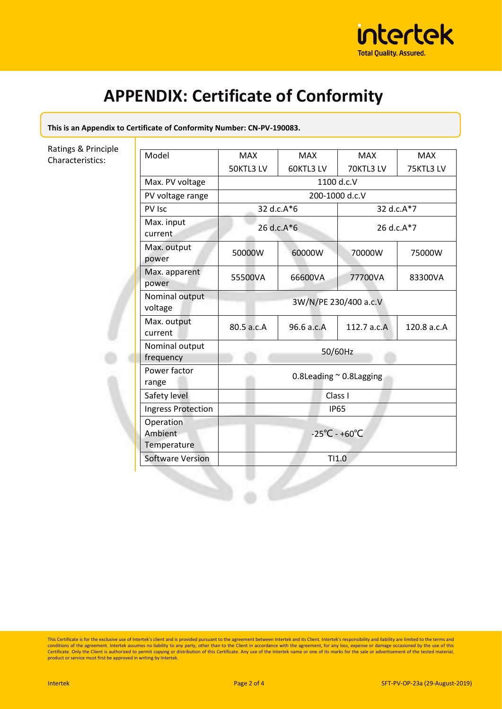

## **APPENDIX: Certificate of Conformity**

**This is an Appendix to Certificate of Conformity Number: CN-PV-190083.** 

Ratings & Principle Characteristics:

| Model                               | <b>MAX</b>                         | <b>MAX</b> | <b>MAX</b>    | <b>MAX</b>  |
|-------------------------------------|------------------------------------|------------|---------------|-------------|
|                                     | 50KTL3 LV                          | 60KTL3 LV  | 70KTL3 LV     | 75KTL3LV    |
| Max. PV voltage                     | 1100 d.c.V                         |            |               |             |
| PV voltage range                    | 200-1000 d.c.V                     |            |               |             |
| PV Isc                              | 32 d.c.A*6                         |            | 32 d.c.A*7    |             |
| Max. input<br>current               | 26 d.c. $A*6$                      |            | 26 d.c. $A*7$ |             |
| Max. output<br>power                | 50000W                             | 60000W     | 70000W        | 75000W      |
| Max. apparent<br>power              | 55500VA                            | 66600VA    | 77700VA       | 83300VA     |
| Nominal output<br>voltage           | 3W/N/PE 230/400 a.c.V              |            |               |             |
| Max. output<br>current              | 80.5 a.c.A                         | 96.6 a.c.A | 112.7 a.c.A   | 120.8 a.c.A |
| Nominal output<br>frequency         | 50/60Hz                            |            |               |             |
| Power factor<br>range               | 0.8Leading $\sim$ 0.8Lagging       |            |               |             |
| Safety level                        | Class I                            |            |               |             |
| <b>Ingress Protection</b>           | <b>IP65</b>                        |            |               |             |
| Operation<br>Ambient<br>Temperature | $-25^{\circ}$ C - +60 $^{\circ}$ C |            |               |             |
| <b>Software Version</b>             | TI1.0                              |            |               |             |

This Certificate is for the exclusive use of Intertek's client and is provided pursuant to the agreement between Intertek and its Client. Intertek's responsibility and liability are limited to the terms and<br>conditions of t Certificate. Only the Client is authorized to permit copying or distribution of this Certificate. Any use of the Intertek name or one of its marks for the sale or advertisement of the tested material, product or service must first be approved in writing by Intertek.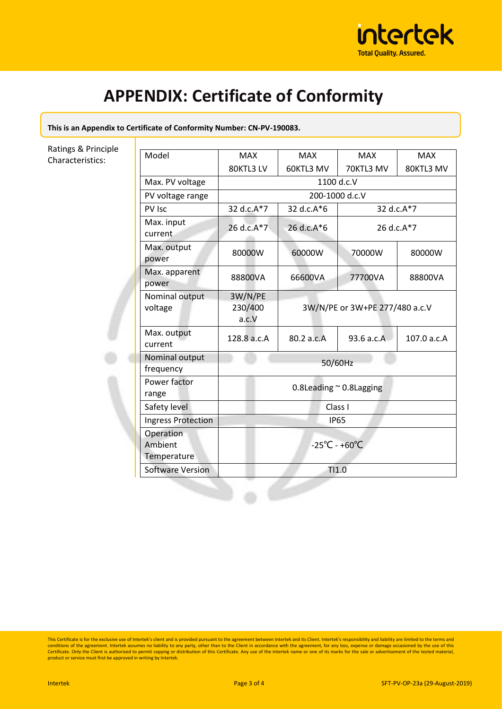

## **APPENDIX: Certificate of Conformity**

**This is an Appendix to Certificate of Conformity Number: CN-PV-190083.** 

Ratings & Principle Characteristics:

| Model                               | <b>MAX</b>                             | <b>MAX</b>                     | <b>MAX</b> | <b>MAX</b>  |  |
|-------------------------------------|----------------------------------------|--------------------------------|------------|-------------|--|
|                                     | 80KTL3 LV                              | 60KTL3 MV                      | 70KTL3 MV  | 80KTL3 MV   |  |
| Max. PV voltage                     | 1100 d.c.V                             |                                |            |             |  |
| PV voltage range                    | 200-1000 d.c.V                         |                                |            |             |  |
| PV Isc                              | 32 d.c.A*7<br>32 d.c.A*7<br>32 d.c.A*6 |                                |            |             |  |
| Max. input<br>current               | 26 d.c.A*7                             | 26 d.c.A*6<br>26 d.c.A*7       |            |             |  |
| Max. output<br>power                | 80000W                                 | 60000W                         | 70000W     | 80000W      |  |
| Max. apparent<br>power              | 88800VA                                | 66600VA                        | 77700VA    | 88800VA     |  |
| Nominal output<br>voltage           | 3W/N/PE<br>230/400<br>a.c.V            | 3W/N/PE or 3W+PE 277/480 a.c.V |            |             |  |
| Max. output<br>current              | 128.8 a.c.A                            | 80.2 a.c.A                     | 93.6 a.c.A | 107.0 a.c.A |  |
| Nominal output<br>frequency         | 50/60Hz                                |                                |            |             |  |
| Power factor<br>range               | 0.8Leading $\sim$ 0.8Lagging           |                                |            |             |  |
| Safety level                        | Class I                                |                                |            |             |  |
| <b>Ingress Protection</b>           | <b>IP65</b>                            |                                |            |             |  |
| Operation<br>Ambient<br>Temperature | $-25^{\circ}$ C - +60 $^{\circ}$ C     |                                |            |             |  |
| <b>Software Version</b>             | TI1.0                                  |                                |            |             |  |

This Certificate is for the exclusive use of Intertek's client and is provided pursuant to the agreement between Intertek and its Client. Intertek's responsibility and liability are limited to the terms and<br>conditions of t Certificate. Only the Client is authorized to permit copying or distribution of this Certificate. Any use of the Intertek name or one of its marks for the sale or advertisement of the tested material,<br>product or service mu